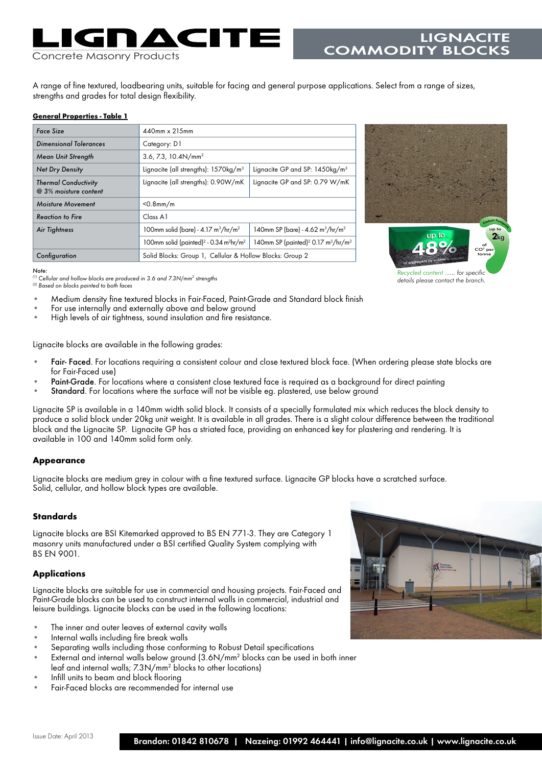# Concrete Masonry Products

A range of fine textured, loadbearing units, suitable for facing and general purpose applications. Select from a range of sizes, strengths and grades for total design flexibility.

#### **General Properties - Table 1**

| Face Size                                            | $440$ mm x $215$ mm                                                        |                                                                        |  |
|------------------------------------------------------|----------------------------------------------------------------------------|------------------------------------------------------------------------|--|
| Dimensional Tolerances                               | Category: D1                                                               |                                                                        |  |
| Mean Unit Strength                                   | 3.6, 7.3, $10.4N/mm2$                                                      |                                                                        |  |
| <b>Net Dry Density</b>                               | Lignacite (all strengths): $1570\text{kg/m}^3$                             | Lignacite GP and SP: 1450kg/m <sup>3</sup>                             |  |
| <b>Thermal Conductivity</b><br>@ 3% moisture content | Lignacite (all strengths): 0.90W/mK                                        | Lignacite GP and SP: 0.79 W/mK                                         |  |
| Moisture Movement                                    | $<$ 0.8mm/m                                                                |                                                                        |  |
| Reaction to Fire                                     | Class A1                                                                   |                                                                        |  |
| Air Tightness                                        | 100mm solid (bare) - $4.17 \text{ m}^3/\text{hr/m}^2$                      | 140mm SP (bare) - 4.62 m <sup>3</sup> /hr/m <sup>2</sup>               |  |
|                                                      | 100mm solid (painted) <sup>2</sup> - 0.34 m <sup>3</sup> hr/m <sup>2</sup> | 140mm SP (painted) <sup>2</sup> 0.17 m <sup>3</sup> /hr/m <sup>2</sup> |  |
| Configuration                                        | Solid Blocks: Group 1, Cellular & Hollow Blocks: Group 2                   |                                                                        |  |



LIGNACITE

COMMODITY BLOC

*details please contact the branch.*

*(1) Cellular and hollow blocks are produced in 3.6 and 7.3N/mm2 strengths (2) Based on blocks painted to both faces*

*Note:*

- Medium density fine textured blocks in Fair-Faced, Paint-Grade and Standard block finish<br>For use internally and externally above and below ground<br>High levels of air tightness, sound insulation and fire resistance.
- 
- 

Lignacite blocks are available in the following grades:

- **•** Fair- Faced. For locations requiring a consistent colour and close textured block face. (When ordering please state blocks are for Fair-Faced use)
- **•** Paint-Grade. For locations where a consistent close textured face is required as a background for direct painting
- Standard. For locations where the surface will not be visible eg. plastered, use below ground

Lignacite SP is available in a 140mm width solid block. It consists of a specially formulated mix which reduces the block density to produce a solid block under 20kg unit weight. It is available in all grades. There is a slight colour difference between the traditional block and the Lignacite SP. Lignacite GP has a striated face, providing an enhanced key for plastering and rendering. It is available in 100 and 140mm solid form only.

# **Appearance**

Lignacite blocks are medium grey in colour with a fine textured surface. Lignacite GP blocks have a scratched surface. Solid, cellular, and hollow block types are available.

# **Standards**

Lignacite blocks are BSI Kitemarked approved to BS EN 771-3. They are Category 1 masonry units manufactured under a BSI certified Quality System complying with BS EN 9001.

# **Applications**

Lignacite blocks are suitable for use in commercial and housing projects. Fair-Faced and Paint-Grade blocks can be used to construct internal walls in commercial, industrial and leisure buildings. Lignacite blocks can be used in the following locations:

- **•** The inner and outer leaves of external cavity walls
- **•** Internal walls including fire break walls
- **•** Separating walls including those conforming to Robust Detail specifications
- **•** External and internal walls below ground (3.6N/mm2 blocks can be used in both inner leaf and internal walls; 7.3N/mm<sup>2</sup> blocks to other locations)
- **•** Infill units to beam and block flooring
- **•** Fair-Faced blocks are recommended for internal use

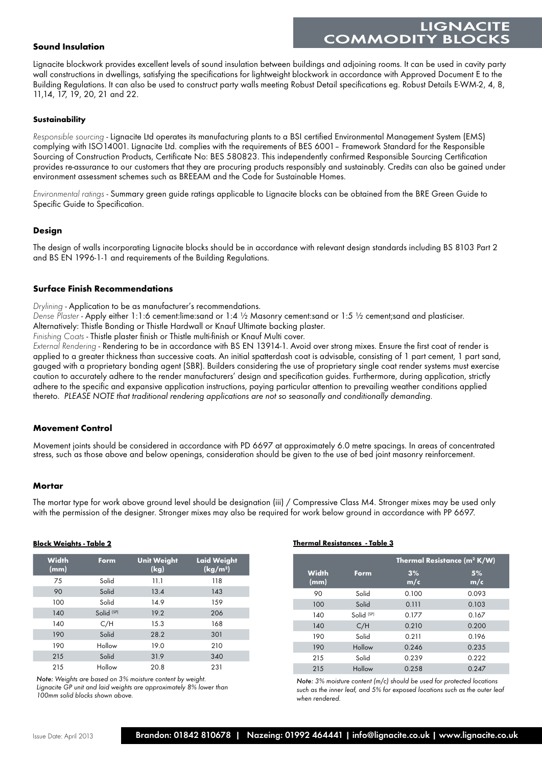# LIGNACI **COMMODITY BLOC**

# **Sound Insulation**

Lignacite blockwork provides excellent levels of sound insulation between buildings and adjoining rooms. It can be used in cavity party wall constructions in dwellings, satisfying the specifications for lightweight blockwork in accordance with Approved Document E to the Building Regulations. It can also be used to construct party walls meeting Robust Detail specifications eg. Robust Details E-WM-2, 4, 8, 11,14, 17, 19, 20, 21 and 22.

### **Sustainability**

*Responsible sourcing* - Lignacite Ltd operates its manufacturing plants to a BSI certified Environmental Management System (EMS) complying with ISO14001. Lignacite Ltd. complies with the requirements of BES 6001– Framework Standard for the Responsible Sourcing of Construction Products, Certificate No: BES 580823. This independently confirmed Responsible Sourcing Certification provides re-assurance to our customers that they are procuring products responsibly and sustainably. Credits can also be gained under environment assessment schemes such as BREEAM and the Code for Sustainable Homes.

*Environmental ratings* - Summary green guide ratings applicable to Lignacite blocks can be obtained from the BRE Green Guide to Specific Guide to Specification.

# **Design**

The design of walls incorporating Lignacite blocks should be in accordance with relevant design standards including BS 8103 Part 2 and BS EN 1996-1-1 and requirements of the Building Regulations.

### **Surface Finish Recommendations**

*Drylining* - Application to be as manufacturer's recommendations.

*Dense Plaster* - Apply either 1:1:6 cement:lime:sand or 1:4 ½ Masonry cement:sand or 1:5 ½ cement;sand and plasticiser.

Alternatively: Thistle Bonding or Thistle Hardwall or Knauf Ultimate backing plaster.

*Finishing Coats* - Thistle plaster finish or Thistle multi-finish or Knauf Multi cover.

*External Rendering* - Rendering to be in accordance with BS EN 13914-1. Avoid over strong mixes. Ensure the first coat of render is applied to a greater thickness than successive coats. An initial spatterdash coat is advisable, consisting of 1 part cement, 1 part sand, gauged with a proprietary bonding agent (SBR). Builders considering the use of proprietary single coat render systems must exercise caution to accurately adhere to the render manufacturers' design and specification guides. Furthermore, during application, strictly adhere to the specific and expansive application instructions, paying particular attention to prevailing weather conditions applied thereto. *PLEASE NOTE that traditional rendering applications are not so seasonally and conditionally demanding.*

# **Movement Control**

Movement joints should be considered in accordance with PD 6697 at approximately 6.0 metre spacings. In areas of concentrated stress, such as those above and below openings, consideration should be given to the use of bed joint masonry reinforcement.

# **Mortar**

The mortar type for work above ground level should be designation (iii) / Compressive Class M4. Stronger mixes may be used only with the permission of the designer. Stronger mixes may also be required for work below ground in accordance with PP 6697.

| <b>Width</b><br>(mm) | Form                  | <b>Unit Weight</b><br>(kg) | <b>Laid Weight</b><br>(kg/m <sup>2</sup> ) |
|----------------------|-----------------------|----------------------------|--------------------------------------------|
| 75                   | Solid                 | 11.1                       | 118                                        |
| 90                   | Solid                 | 13.4                       | 143                                        |
| 100                  | Solid                 | 14.9                       | 159                                        |
| 140                  | Solid <sup>(SP)</sup> | 19.2                       | 206                                        |
| 140                  | C/H                   | 15.3                       | 168                                        |
| 190                  | Solid                 | 28.2                       | 301                                        |
| 190                  | Hollow                | 19.0                       | 210                                        |
| 215                  | Solid                 | 31.9                       | 340                                        |
| 215                  | Hollow                | 20.8                       | 231                                        |

*Note: Weights are based on 3% moisture content by weight. Lignacite GP unit and laid weights are approximately 8% lower than* 

*100mm solid blocks shown above.*

#### **Block Weights - Table 2 Thermal Resistances - Table 3**

|                      |                       | <b>Thermal Resistance (m<sup>2</sup> K/W)</b> |           |  |
|----------------------|-----------------------|-----------------------------------------------|-----------|--|
| <b>Width</b><br>(mm) | Form                  | 3%<br>m/c                                     | 5%<br>m/c |  |
| 90                   | Solid                 | 0.100                                         | 0.093     |  |
| 100                  | Solid                 | 0.111                                         | 0.103     |  |
| 140                  | Solid <sup>(SP)</sup> | 0.177                                         | 0.167     |  |
| 140                  | C/H                   | 0.210                                         | 0.200     |  |
| 190                  | Solid                 | 0.211                                         | 0.196     |  |
| 190                  | Hollow                | 0.246                                         | 0.235     |  |
| 215                  | Solid                 | 0.239                                         | 0.222     |  |
| 215                  | Hollow                | 0.258                                         | 0.247     |  |

*Note: 3% moisture content (m/c) should be used for protected locations such as the inner leaf, and 5% for exposed locations such as the outer leaf when rendered.*